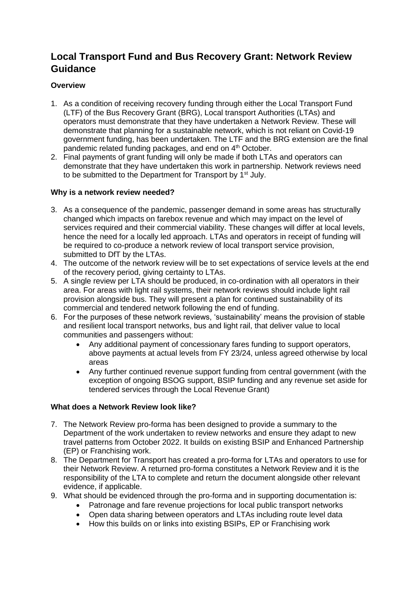# **Local Transport Fund and Bus Recovery Grant: Network Review Guidance**

## **Overview**

- 1. As a condition of receiving recovery funding through either the Local Transport Fund (LTF) of the Bus Recovery Grant (BRG), Local transport Authorities (LTAs) and operators must demonstrate that they have undertaken a Network Review. These will demonstrate that planning for a sustainable network, which is not reliant on Covid-19 government funding, has been undertaken. The LTF and the BRG extension are the final pandemic related funding packages, and end on 4<sup>th</sup> October.
- 2. Final payments of grant funding will only be made if both LTAs and operators can demonstrate that they have undertaken this work in partnership. Network reviews need to be submitted to the Department for Transport by 1<sup>st</sup> July.

## **Why is a network review needed?**

- 3. As a consequence of the pandemic, passenger demand in some areas has structurally changed which impacts on farebox revenue and which may impact on the level of services required and their commercial viability. These changes will differ at local levels, hence the need for a locally led approach. LTAs and operators in receipt of funding will be required to co-produce a network review of local transport service provision, submitted to DfT by the LTAs.
- 4. The outcome of the network review will be to set expectations of service levels at the end of the recovery period, giving certainty to LTAs.
- 5. A single review per LTA should be produced, in co-ordination with all operators in their area. For areas with light rail systems, their network reviews should include light rail provision alongside bus. They will present a plan for continued sustainability of its commercial and tendered network following the end of funding.
- 6. For the purposes of these network reviews, 'sustainability' means the provision of stable and resilient local transport networks, bus and light rail, that deliver value to local communities and passengers without:
	- Any additional payment of concessionary fares funding to support operators, above payments at actual levels from FY 23/24, unless agreed otherwise by local areas
	- Any further continued revenue support funding from central government (with the exception of ongoing BSOG support, BSIP funding and any revenue set aside for tendered services through the Local Revenue Grant)

## **What does a Network Review look like?**

- 7. The Network Review pro-forma has been designed to provide a summary to the Department of the work undertaken to review networks and ensure they adapt to new travel patterns from October 2022. It builds on existing BSIP and Enhanced Partnership (EP) or Franchising work.
- 8. The Department for Transport has created a pro-forma for LTAs and operators to use for their Network Review. A returned pro-forma constitutes a Network Review and it is the responsibility of the LTA to complete and return the document alongside other relevant evidence, if applicable.
- 9. What should be evidenced through the pro-forma and in supporting documentation is:
	- Patronage and fare revenue projections for local public transport networks
	- Open data sharing between operators and LTAs including route level data
	- How this builds on or links into existing BSIPs, EP or Franchising work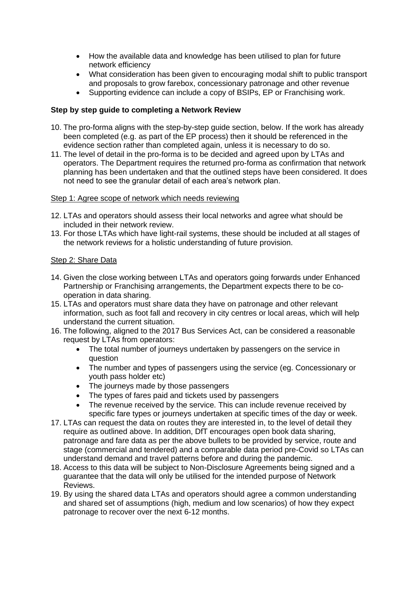- How the available data and knowledge has been utilised to plan for future network efficiency
- What consideration has been given to encouraging modal shift to public transport and proposals to grow farebox, concessionary patronage and other revenue
- Supporting evidence can include a copy of BSIPs, EP or Franchising work.

## **Step by step guide to completing a Network Review**

- 10. The pro-forma aligns with the step-by-step guide section, below. If the work has already been completed (e.g. as part of the EP process) then it should be referenced in the evidence section rather than completed again, unless it is necessary to do so.
- 11. The level of detail in the pro-forma is to be decided and agreed upon by LTAs and operators. The Department requires the returned pro-forma as confirmation that network planning has been undertaken and that the outlined steps have been considered. It does not need to see the granular detail of each area's network plan.

## Step 1: Agree scope of network which needs reviewing

- 12. LTAs and operators should assess their local networks and agree what should be included in their network review.
- 13. For those LTAs which have light-rail systems, these should be included at all stages of the network reviews for a holistic understanding of future provision.

## Step 2: Share Data

- 14. Given the close working between LTAs and operators going forwards under Enhanced Partnership or Franchising arrangements, the Department expects there to be cooperation in data sharing.
- 15. LTAs and operators must share data they have on patronage and other relevant information, such as foot fall and recovery in city centres or local areas, which will help understand the current situation.
- 16. The following, aligned to the 2017 Bus Services Act, can be considered a reasonable request by LTAs from operators:
	- The total number of journeys undertaken by passengers on the service in question
	- The number and types of passengers using the service (eg. Concessionary or youth pass holder etc)
	- The journeys made by those passengers
	- The types of fares paid and tickets used by passengers
	- The revenue received by the service. This can include revenue received by specific fare types or journeys undertaken at specific times of the day or week.
- 17. LTAs can request the data on routes they are interested in, to the level of detail they require as outlined above. In addition, DfT encourages open book data sharing, patronage and fare data as per the above bullets to be provided by service, route and stage (commercial and tendered) and a comparable data period pre-Covid so LTAs can understand demand and travel patterns before and during the pandemic.
- 18. Access to this data will be subject to Non-Disclosure Agreements being signed and a guarantee that the data will only be utilised for the intended purpose of Network Reviews.
- 19. By using the shared data LTAs and operators should agree a common understanding and shared set of assumptions (high, medium and low scenarios) of how they expect patronage to recover over the next 6-12 months.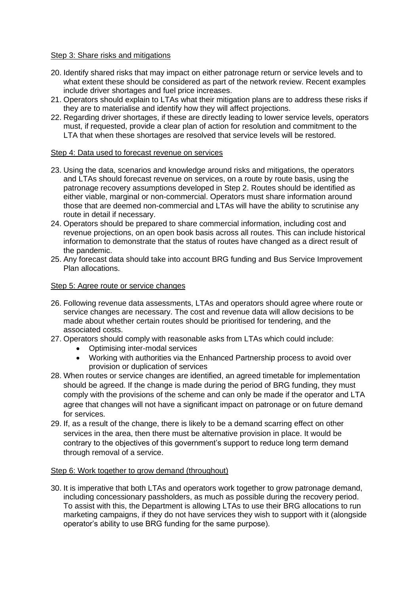#### Step 3: Share risks and mitigations

- 20. Identify shared risks that may impact on either patronage return or service levels and to what extent these should be considered as part of the network review. Recent examples include driver shortages and fuel price increases.
- 21. Operators should explain to LTAs what their mitigation plans are to address these risks if they are to materialise and identify how they will affect projections.
- 22. Regarding driver shortages, if these are directly leading to lower service levels, operators must, if requested, provide a clear plan of action for resolution and commitment to the LTA that when these shortages are resolved that service levels will be restored.

#### Step 4: Data used to forecast revenue on services

- 23. Using the data, scenarios and knowledge around risks and mitigations, the operators and LTAs should forecast revenue on services, on a route by route basis, using the patronage recovery assumptions developed in Step 2. Routes should be identified as either viable, marginal or non-commercial. Operators must share information around those that are deemed non-commercial and LTAs will have the ability to scrutinise any route in detail if necessary.
- 24. Operators should be prepared to share commercial information, including cost and revenue projections, on an open book basis across all routes. This can include historical information to demonstrate that the status of routes have changed as a direct result of the pandemic.
- 25. Any forecast data should take into account BRG funding and Bus Service Improvement Plan allocations.

#### Step 5: Agree route or service changes

- 26. Following revenue data assessments, LTAs and operators should agree where route or service changes are necessary. The cost and revenue data will allow decisions to be made about whether certain routes should be prioritised for tendering, and the associated costs.
- 27. Operators should comply with reasonable asks from LTAs which could include:
	- Optimising inter-modal services
	- Working with authorities via the Enhanced Partnership process to avoid over provision or duplication of services
- 28. When routes or service changes are identified, an agreed timetable for implementation should be agreed. If the change is made during the period of BRG funding, they must comply with the provisions of the scheme and can only be made if the operator and LTA agree that changes will not have a significant impact on patronage or on future demand for services.
- 29. If, as a result of the change, there is likely to be a demand scarring effect on other services in the area, then there must be alternative provision in place. It would be contrary to the objectives of this government's support to reduce long term demand through removal of a service.

#### Step 6: Work together to grow demand (throughout)

30. It is imperative that both LTAs and operators work together to grow patronage demand, including concessionary passholders, as much as possible during the recovery period. To assist with this, the Department is allowing LTAs to use their BRG allocations to run marketing campaigns, if they do not have services they wish to support with it (alongside operator's ability to use BRG funding for the same purpose).